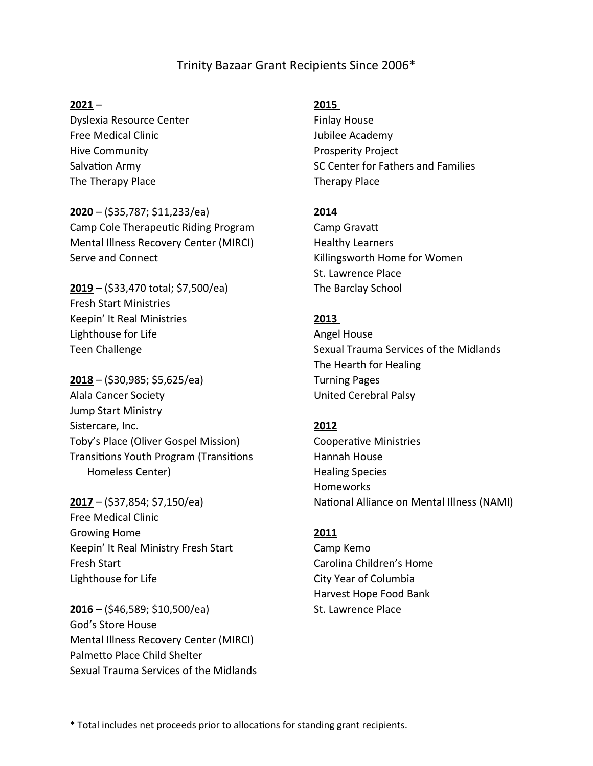# Trinity Bazaar Grant Recipients Since 2006\*

#### **2021** –

Dyslexia Resource Center Free Medical Clinic Hive Community Salvation Army The Therapy Place

#### **2020** – (\$35,787; \$11,233/ea)

Camp Cole Therapeutic Riding Program Mental Illness Recovery Center (MIRCI) Serve and Connect

# **2019** – (\$33,470 total; \$7,500/ea) Fresh Start Ministries Keepin' It Real Ministries Lighthouse for Life Teen Challenge

**2018** – (\$30,985; \$5,625/ea) Alala Cancer Society Jump Start Ministry Sistercare, Inc. Toby's Place (Oliver Gospel Mission) Transitions Youth Program (Transitions Homeless Center)

**2017** – (\$37,854; \$7,150/ea) Free Medical Clinic Growing Home Keepin' It Real Ministry Fresh Start Fresh Start Lighthouse for Life

**2016** – (\$46,589; \$10,500/ea) God's Store House Mental Illness Recovery Center (MIRCI) Palmetto Place Child Shelter Sexual Trauma Services of the Midlands

#### **2015**

Finlay House Jubilee Academy Prosperity Project SC Center for Fathers and Families Therapy Place

## **2014**

Camp Gravatt Healthy Learners Killingsworth Home for Women St. Lawrence Place The Barclay School

## **2013**

Angel House Sexual Trauma Services of the Midlands The Hearth for Healing Turning Pages United Cerebral Palsy

## **2012**

Cooperative Ministries Hannah House Healing Species Homeworks National Alliance on Mental Illness (NAMI)

#### **2011**

Camp Kemo Carolina Children's Home City Year of Columbia Harvest Hope Food Bank St. Lawrence Place

\* Total includes net proceeds prior to allocations for standing grant recipients.